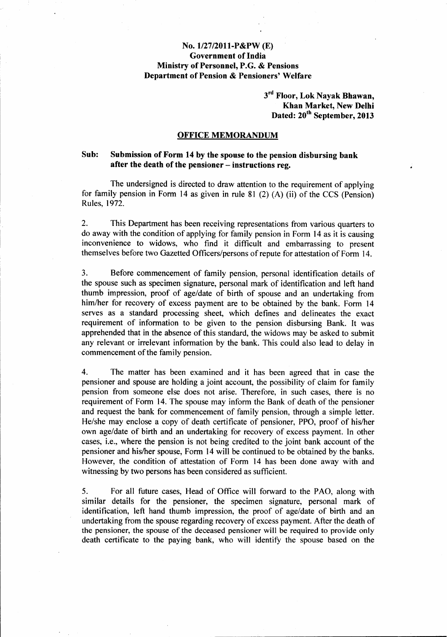## *No.1I27/2011-P&PW(E)* Government of India Ministry of Personnel, P.G. & Pensions Department of Pension & Pensioners' Welfare

3<sup>rd</sup> Floor, Lok Nayak Bhawan Khan Market, New Delhi Dated: 20<sup>th</sup> September, 2013

## OFFICE MEMORANDUM

## Sub: Submission of Form 14 by the spouse to the pension disbursing bank after the death of the pensioner  $-$  instructions reg.

The undersigned is directed to draw attention to the requirement of applying for family pension in Form 14 as given in rule 81 (2) (A) (ii) of the CCS (Pension) Rules, 1972.

2. This Department has been receiving representations from various quarters to do away with the condition of applying for family pension in Form 14 as it is causing inconvenience to widows, who find it difficult and embarrassing to present themselves before two Gazetted Officers/persons of repute for attestation of Form 14.

3. Before commencement of family pension, personal identification details of the spouse such as specimen signature, personal mark of identification and left hand thumb impression, proof of age/date of birth of spouse and an undertaking from him/her for recovery of excess payment are to be obtained by the bank. Form 14 serves as a standard processing sheet, which defines and delineates the exact requirement of information to be given to the pension disbursing Bank. It was apprehended that in the absence of this standard, the widows may be asked to submit any relevant or irrelevant information by the bank. This could also lead to delay in commencement of the family pension.

4. The matter has been examined and it has been agreed that in case the pensioner and spouse are holding a joint account, the possibility of claim for family pension from someone else does not arise. Therefore, in such cases, there is no requirement of Form 14. The spouse may inform the Bank of death of the pensioner and request the bank for commencement of family pension, through a simple letter. He/she may enclose a copy of death certificate of pensioner, PPO, proof of his/her own age/date of birth and an undertaking for recovery of excess payment. In other cases, i.e., where the pension is not being credited to the joint bank account of the pensioner and hislher spouse, Form 14 will be continued to be obtained by the banks. However, the condition of attestation of Form 14 has been done away with and witnessing by two persons has been considered as sufficient.

5. For all future cases, Head of Office will forward to the PAO, along with similar details for the pensioner, the specimen signature, personal mark of identification, left hand thumb impression, the proof of age/date of birth and an undertaking from the spouse regarding recovery of excess payment. After the death of the pensioner, the spouse of the deceased pensioner will be required to provide only death certificate to the paying bank, who will identify the spouse based on the